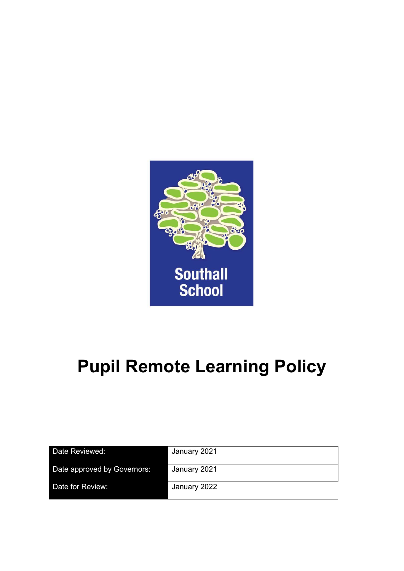

# Pupil Remote Learning Policy

| Date Reviewed:              | January 2021 |
|-----------------------------|--------------|
| Date approved by Governors: | January 2021 |
| Date for Review:            | January 2022 |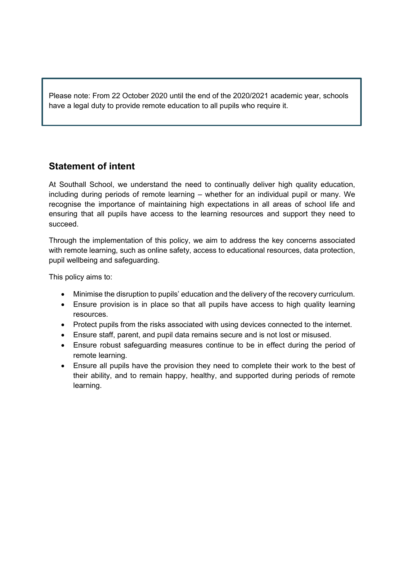Please note: From 22 October 2020 until the end of the 2020/2021 academic year, schools have a legal duty to provide remote education to all pupils who require it.

# Statement of intent

At Southall School, we understand the need to continually deliver high quality education, including during periods of remote learning – whether for an individual pupil or many. We recognise the importance of maintaining high expectations in all areas of school life and ensuring that all pupils have access to the learning resources and support they need to succeed.

Through the implementation of this policy, we aim to address the key concerns associated with remote learning, such as online safety, access to educational resources, data protection, pupil wellbeing and safeguarding.

This policy aims to:

- Minimise the disruption to pupils' education and the delivery of the recovery curriculum.
- Ensure provision is in place so that all pupils have access to high quality learning resources.
- Protect pupils from the risks associated with using devices connected to the internet.
- Ensure staff, parent, and pupil data remains secure and is not lost or misused.
- Ensure robust safeguarding measures continue to be in effect during the period of remote learning.
- Ensure all pupils have the provision they need to complete their work to the best of their ability, and to remain happy, healthy, and supported during periods of remote learning.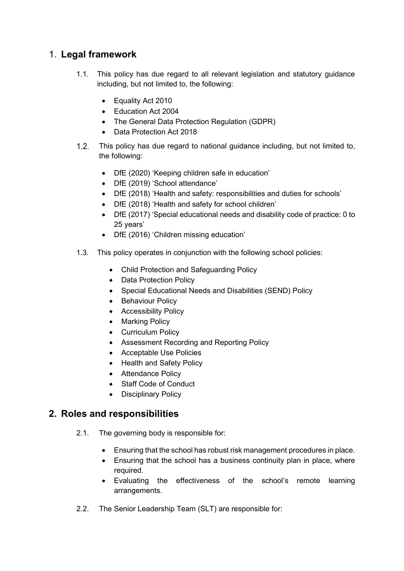# 1. Legal framework

- 1.1. This policy has due regard to all relevant legislation and statutory guidance including, but not limited to, the following:
	- Equality Act 2010
	- Education Act 2004
	- The General Data Protection Regulation (GDPR)
	- Data Protection Act 2018
- This policy has due regard to national guidance including, but not limited to, the following:
	- DfE (2020) 'Keeping children safe in education'
	- DfE (2019) 'School attendance'
	- DfE (2018) 'Health and safety: responsibilities and duties for schools'
	- DfE (2018) 'Health and safety for school children'
	- DfE (2017) 'Special educational needs and disability code of practice: 0 to 25 years'
	- DfE (2016) 'Children missing education'
- 1.3. This policy operates in conjunction with the following school policies:
	- Child Protection and Safeguarding Policy
	- Data Protection Policy
	- Special Educational Needs and Disabilities (SEND) Policy
	- Behaviour Policy
	- **•** Accessibility Policy
	- Marking Policy
	- Curriculum Policy
	- Assessment Recording and Reporting Policy
	- Acceptable Use Policies
	- Health and Safety Policy
	- Attendance Policy
	- Staff Code of Conduct
	- Disciplinary Policy

## 2. Roles and responsibilities

- 2.1. The governing body is responsible for:
	- Ensuring that the school has robust risk management procedures in place.
	- Ensuring that the school has a business continuity plan in place, where required.
	- Evaluating the effectiveness of the school's remote learning arrangements.
- 2.2. The Senior Leadership Team (SLT) are responsible for: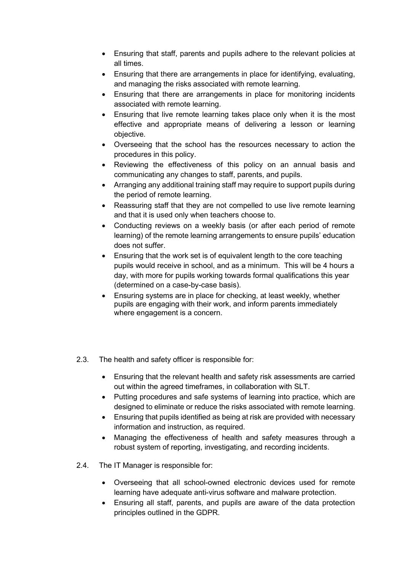- Ensuring that staff, parents and pupils adhere to the relevant policies at all times.
- Ensuring that there are arrangements in place for identifying, evaluating, and managing the risks associated with remote learning.
- Ensuring that there are arrangements in place for monitoring incidents associated with remote learning.
- Ensuring that live remote learning takes place only when it is the most effective and appropriate means of delivering a lesson or learning objective.
- Overseeing that the school has the resources necessary to action the procedures in this policy.
- Reviewing the effectiveness of this policy on an annual basis and communicating any changes to staff, parents, and pupils.
- Arranging any additional training staff may require to support pupils during the period of remote learning.
- Reassuring staff that they are not compelled to use live remote learning and that it is used only when teachers choose to.
- Conducting reviews on a weekly basis (or after each period of remote learning) of the remote learning arrangements to ensure pupils' education does not suffer.
- Ensuring that the work set is of equivalent length to the core teaching pupils would receive in school, and as a minimum. This will be 4 hours a day, with more for pupils working towards formal qualifications this year (determined on a case-by-case basis).
- Ensuring systems are in place for checking, at least weekly, whether pupils are engaging with their work, and inform parents immediately where engagement is a concern.
- 2.3. The health and safety officer is responsible for:
	- Ensuring that the relevant health and safety risk assessments are carried out within the agreed timeframes, in collaboration with SLT.
	- Putting procedures and safe systems of learning into practice, which are designed to eliminate or reduce the risks associated with remote learning.
	- Ensuring that pupils identified as being at risk are provided with necessary information and instruction, as required.
	- Managing the effectiveness of health and safety measures through a robust system of reporting, investigating, and recording incidents.
- 2.4. The IT Manager is responsible for:
	- Overseeing that all school-owned electronic devices used for remote learning have adequate anti-virus software and malware protection.
	- Ensuring all staff, parents, and pupils are aware of the data protection principles outlined in the GDPR.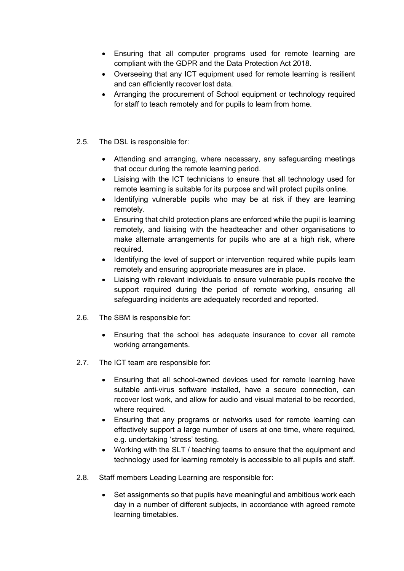- Ensuring that all computer programs used for remote learning are compliant with the GDPR and the Data Protection Act 2018.
- Overseeing that any ICT equipment used for remote learning is resilient and can efficiently recover lost data.
- Arranging the procurement of School equipment or technology required for staff to teach remotely and for pupils to learn from home.
- 2.5. The DSL is responsible for:
	- Attending and arranging, where necessary, any safeguarding meetings that occur during the remote learning period.
	- Liaising with the ICT technicians to ensure that all technology used for remote learning is suitable for its purpose and will protect pupils online.
	- Identifying vulnerable pupils who may be at risk if they are learning remotely.
	- Ensuring that child protection plans are enforced while the pupil is learning remotely, and liaising with the headteacher and other organisations to make alternate arrangements for pupils who are at a high risk, where required.
	- Identifying the level of support or intervention required while pupils learn remotely and ensuring appropriate measures are in place.
	- Liaising with relevant individuals to ensure vulnerable pupils receive the support required during the period of remote working, ensuring all safeguarding incidents are adequately recorded and reported.
- 2.6. The SBM is responsible for:
	- Ensuring that the school has adequate insurance to cover all remote working arrangements.
- 2.7. The ICT team are responsible for:
	- Ensuring that all school-owned devices used for remote learning have suitable anti-virus software installed, have a secure connection, can recover lost work, and allow for audio and visual material to be recorded, where required.
	- Ensuring that any programs or networks used for remote learning can effectively support a large number of users at one time, where required, e.g. undertaking 'stress' testing.
	- Working with the SLT / teaching teams to ensure that the equipment and technology used for learning remotely is accessible to all pupils and staff.
- 2.8. Staff members Leading Learning are responsible for:
	- Set assignments so that pupils have meaningful and ambitious work each day in a number of different subjects, in accordance with agreed remote learning timetables.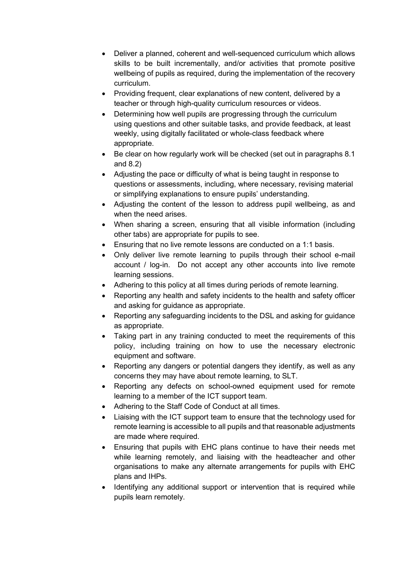- Deliver a planned, coherent and well-sequenced curriculum which allows skills to be built incrementally, and/or activities that promote positive wellbeing of pupils as required, during the implementation of the recovery curriculum.
- Providing frequent, clear explanations of new content, delivered by a teacher or through high-quality curriculum resources or videos.
- Determining how well pupils are progressing through the curriculum using questions and other suitable tasks, and provide feedback, at least weekly, using digitally facilitated or whole-class feedback where appropriate.
- Be clear on how regularly work will be checked (set out in paragraphs 8.1 and 8.2)
- Adjusting the pace or difficulty of what is being taught in response to questions or assessments, including, where necessary, revising material or simplifying explanations to ensure pupils' understanding.
- Adjusting the content of the lesson to address pupil wellbeing, as and when the need arises.
- When sharing a screen, ensuring that all visible information (including other tabs) are appropriate for pupils to see.
- Ensuring that no live remote lessons are conducted on a 1:1 basis.
- Only deliver live remote learning to pupils through their school e-mail account / log-in. Do not accept any other accounts into live remote learning sessions.
- Adhering to this policy at all times during periods of remote learning.
- Reporting any health and safety incidents to the health and safety officer and asking for guidance as appropriate.
- Reporting any safeguarding incidents to the DSL and asking for guidance as appropriate.
- Taking part in any training conducted to meet the requirements of this policy, including training on how to use the necessary electronic equipment and software.
- Reporting any dangers or potential dangers they identify, as well as any concerns they may have about remote learning, to SLT.
- Reporting any defects on school-owned equipment used for remote learning to a member of the ICT support team.
- Adhering to the Staff Code of Conduct at all times.
- Liaising with the ICT support team to ensure that the technology used for remote learning is accessible to all pupils and that reasonable adjustments are made where required.
- Ensuring that pupils with EHC plans continue to have their needs met while learning remotely, and liaising with the headteacher and other organisations to make any alternate arrangements for pupils with EHC plans and IHPs.
- Identifying any additional support or intervention that is required while pupils learn remotely.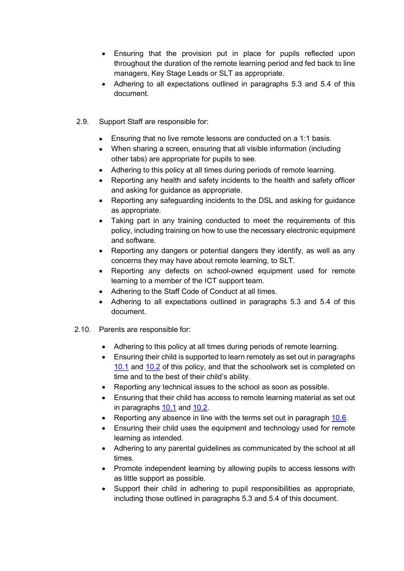- Ensuring that the provision put in place for pupils reflected upon throughout the duration of the remote learning period and fed back to line managers, Key Stage Leads or SLT as appropriate.
- Adhering to all expectations outlined in paragraphs 5.3 and 5.4 of this document.
- 2.9. Support Staff are responsible for:
	- Ensuring that no live remote lessons are conducted on a 1:1 basis.
	- When sharing a screen, ensuring that all visible information (including other tabs) are appropriate for pupils to see.
	- Adhering to this policy at all times during periods of remote learning.
	- Reporting any health and safety incidents to the health and safety officer and asking for guidance as appropriate.
	- Reporting any safeguarding incidents to the DSL and asking for guidance as appropriate.
	- Taking part in any training conducted to meet the requirements of this policy, including training on how to use the necessary electronic equipment and software.
	- Reporting any dangers or potential dangers they identify, as well as any concerns they may have about remote learning, to SLT.
	- Reporting any defects on school-owned equipment used for remote learning to a member of the ICT support team.
	- Adhering to the Staff Code of Conduct at all times.
	- Adhering to all expectations outlined in paragraphs 5.3 and 5.4 of this document.
- 2.10. Parents are responsible for:
	- Adhering to this policy at all times during periods of remote learning.
	- Ensuring their child is supported to learn remotely as set out in paragraphs 10.1 and 10.2 of this policy, and that the schoolwork set is completed on time and to the best of their child's ability.
	- Reporting any technical issues to the school as soon as possible.
	- Ensuring that their child has access to remote learning material as set out in paragraphs 10.1 and 10.2.
	- Reporting any absence in line with the terms set out in paragraph 10.6.
	- Ensuring their child uses the equipment and technology used for remote learning as intended.
	- Adhering to any parental guidelines as communicated by the school at all times.
	- Promote independent learning by allowing pupils to access lessons with as little support as possible.
	- Support their child in adhering to pupil responsibilities as appropriate, including those outlined in paragraphs 5.3 and 5.4 of this document.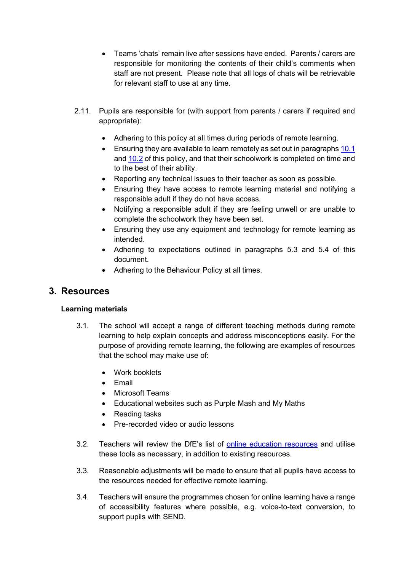- Teams 'chats' remain live after sessions have ended. Parents / carers are responsible for monitoring the contents of their child's comments when staff are not present. Please note that all logs of chats will be retrievable for relevant staff to use at any time.
- 2.11. Pupils are responsible for (with support from parents / carers if required and appropriate):
	- Adhering to this policy at all times during periods of remote learning.
	- **Ensuring they are available to learn remotely as set out in paragraphs 10.1** and 10.2 of this policy, and that their schoolwork is completed on time and to the best of their ability.
	- Reporting any technical issues to their teacher as soon as possible.
	- Ensuring they have access to remote learning material and notifying a responsible adult if they do not have access.
	- Notifying a responsible adult if they are feeling unwell or are unable to complete the schoolwork they have been set.
	- Ensuring they use any equipment and technology for remote learning as intended.
	- Adhering to expectations outlined in paragraphs 5.3 and 5.4 of this document.
	- Adhering to the Behaviour Policy at all times.

#### 3. Resources

#### Learning materials

- 3.1. The school will accept a range of different teaching methods during remote learning to help explain concepts and address misconceptions easily. For the purpose of providing remote learning, the following are examples of resources that the school may make use of:
	- Work booklets
	- $\bullet$  Fmail
	- Microsoft Teams
	- Educational websites such as Purple Mash and My Maths
	- Reading tasks
	- Pre-recorded video or audio lessons
- 3.2. Teachers will review the DfE's list of online education resources and utilise these tools as necessary, in addition to existing resources.
- 3.3. Reasonable adjustments will be made to ensure that all pupils have access to the resources needed for effective remote learning.
- 3.4. Teachers will ensure the programmes chosen for online learning have a range of accessibility features where possible, e.g. voice-to-text conversion, to support pupils with SEND.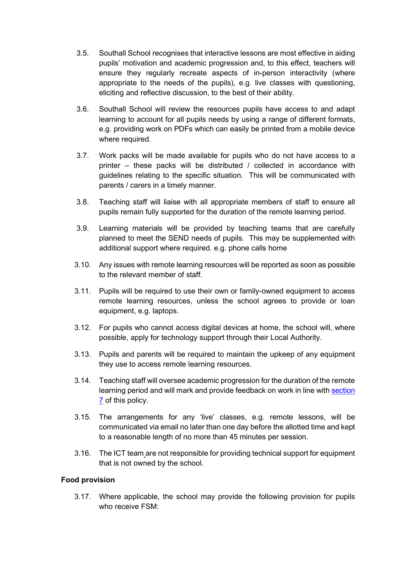- 3.5. Southall School recognises that interactive lessons are most effective in aiding pupils' motivation and academic progression and, to this effect, teachers will ensure they regularly recreate aspects of in-person interactivity (where appropriate to the needs of the pupils), e.g. live classes with questioning, eliciting and reflective discussion, to the best of their ability.
- 3.6. Southall School will review the resources pupils have access to and adapt learning to account for all pupils needs by using a range of different formats, e.g. providing work on PDFs which can easily be printed from a mobile device where required.
- 3.7. Work packs will be made available for pupils who do not have access to a printer – these packs will be distributed / collected in accordance with guidelines relating to the specific situation. This will be communicated with parents / carers in a timely manner.
- 3.8. Teaching staff will liaise with all appropriate members of staff to ensure all pupils remain fully supported for the duration of the remote learning period.
- 3.9. Learning materials will be provided by teaching teams that are carefully planned to meet the SEND needs of pupils. This may be supplemented with additional support where required. e.g. phone calls home
- 3.10. Any issues with remote learning resources will be reported as soon as possible to the relevant member of staff.
- 3.11. Pupils will be required to use their own or family-owned equipment to access remote learning resources, unless the school agrees to provide or loan equipment, e.g. laptops.
- 3.12. For pupils who cannot access digital devices at home, the school will, where possible, apply for technology support through their Local Authority.
- 3.13. Pupils and parents will be required to maintain the upkeep of any equipment they use to access remote learning resources.
- 3.14. Teaching staff will oversee academic progression for the duration of the remote learning period and will mark and provide feedback on work in line with section 7 of this policy.
- 3.15. The arrangements for any 'live' classes, e.g. remote lessons, will be communicated via email no later than one day before the allotted time and kept to a reasonable length of no more than 45 minutes per session.
- 3.16. The ICT team are not responsible for providing technical support for equipment that is not owned by the school.

#### Food provision

3.17. Where applicable, the school may provide the following provision for pupils who receive FSM: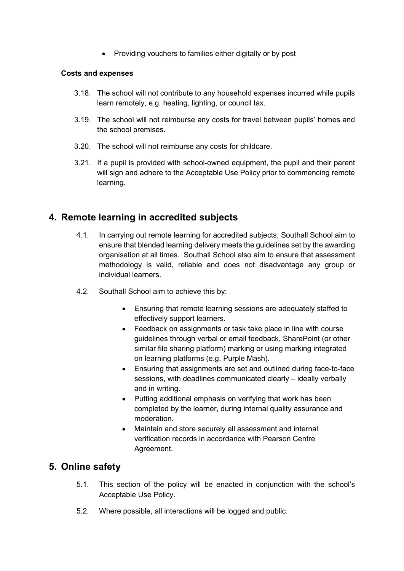• Providing vouchers to families either digitally or by post

#### Costs and expenses

- 3.18. The school will not contribute to any household expenses incurred while pupils learn remotely, e.g. heating, lighting, or council tax.
- 3.19. The school will not reimburse any costs for travel between pupils' homes and the school premises.
- 3.20. The school will not reimburse any costs for childcare.
- 3.21. If a pupil is provided with school-owned equipment, the pupil and their parent will sign and adhere to the Acceptable Use Policy prior to commencing remote learning.

## 4. Remote learning in accredited subjects

- 4.1. In carrying out remote learning for accredited subjects, Southall School aim to ensure that blended learning delivery meets the guidelines set by the awarding organisation at all times. Southall School also aim to ensure that assessment methodology is valid, reliable and does not disadvantage any group or individual learners.
- 4.2. Southall School aim to achieve this by:
	- Ensuring that remote learning sessions are adequately staffed to effectively support learners.
	- Feedback on assignments or task take place in line with course guidelines through verbal or email feedback, SharePoint (or other similar file sharing platform) marking or using marking integrated on learning platforms (e.g. Purple Mash).
	- Ensuring that assignments are set and outlined during face-to-face sessions, with deadlines communicated clearly – ideally verbally and in writing.
	- Putting additional emphasis on verifying that work has been completed by the learner, during internal quality assurance and moderation.
	- Maintain and store securely all assessment and internal verification records in accordance with Pearson Centre Agreement.

## 5. Online safety

- 5.1. This section of the policy will be enacted in conjunction with the school's Acceptable Use Policy.
- 5.2. Where possible, all interactions will be logged and public.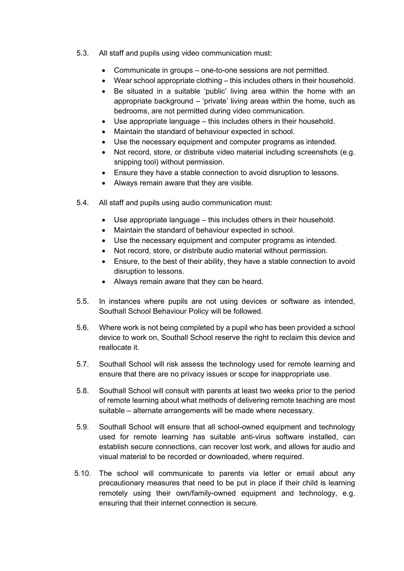- 5.3. All staff and pupils using video communication must:
	- Communicate in groups one-to-one sessions are not permitted.
	- Wear school appropriate clothing this includes others in their household.
	- Be situated in a suitable 'public' living area within the home with an appropriate background – 'private' living areas within the home, such as bedrooms, are not permitted during video communication.
	- Use appropriate language this includes others in their household.
	- Maintain the standard of behaviour expected in school.
	- Use the necessary equipment and computer programs as intended.
	- Not record, store, or distribute video material including screenshots (e.g. snipping tool) without permission.
	- Ensure they have a stable connection to avoid disruption to lessons.
	- Always remain aware that they are visible.
- 5.4. All staff and pupils using audio communication must:
	- Use appropriate language this includes others in their household.
	- Maintain the standard of behaviour expected in school.
	- Use the necessary equipment and computer programs as intended.
	- Not record, store, or distribute audio material without permission.
	- Ensure, to the best of their ability, they have a stable connection to avoid disruption to lessons.
	- Always remain aware that they can be heard.
- 5.5. In instances where pupils are not using devices or software as intended, Southall School Behaviour Policy will be followed.
- 5.6. Where work is not being completed by a pupil who has been provided a school device to work on, Southall School reserve the right to reclaim this device and reallocate it.
- 5.7. Southall School will risk assess the technology used for remote learning and ensure that there are no privacy issues or scope for inappropriate use.
- 5.8. Southall School will consult with parents at least two weeks prior to the period of remote learning about what methods of delivering remote teaching are most suitable – alternate arrangements will be made where necessary.
- 5.9. Southall School will ensure that all school-owned equipment and technology used for remote learning has suitable anti-virus software installed, can establish secure connections, can recover lost work, and allows for audio and visual material to be recorded or downloaded, where required.
- 5.10. The school will communicate to parents via letter or email about any precautionary measures that need to be put in place if their child is learning remotely using their own/family-owned equipment and technology, e.g. ensuring that their internet connection is secure.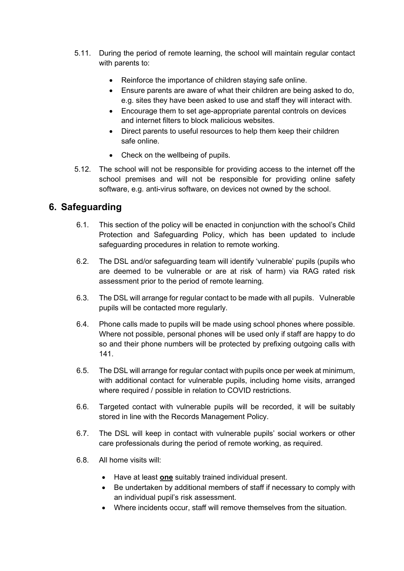- 5.11. During the period of remote learning, the school will maintain regular contact with parents to:
	- Reinforce the importance of children staying safe online.
	- Ensure parents are aware of what their children are being asked to do, e.g. sites they have been asked to use and staff they will interact with.
	- Encourage them to set age-appropriate parental controls on devices and internet filters to block malicious websites.
	- Direct parents to useful resources to help them keep their children safe online.
	- Check on the wellbeing of pupils.
- 5.12. The school will not be responsible for providing access to the internet off the school premises and will not be responsible for providing online safety software, e.g. anti-virus software, on devices not owned by the school.

# 6. Safeguarding

- 6.1. This section of the policy will be enacted in conjunction with the school's Child Protection and Safeguarding Policy, which has been updated to include safeguarding procedures in relation to remote working.
- 6.2. The DSL and/or safeguarding team will identify 'vulnerable' pupils (pupils who are deemed to be vulnerable or are at risk of harm) via RAG rated risk assessment prior to the period of remote learning.
- 6.3. The DSL will arrange for regular contact to be made with all pupils. Vulnerable pupils will be contacted more regularly.
- 6.4. Phone calls made to pupils will be made using school phones where possible. Where not possible, personal phones will be used only if staff are happy to do so and their phone numbers will be protected by prefixing outgoing calls with 141.
- 6.5. The DSL will arrange for regular contact with pupils once per week at minimum, with additional contact for vulnerable pupils, including home visits, arranged where required / possible in relation to COVID restrictions.
- 6.6. Targeted contact with vulnerable pupils will be recorded, it will be suitably stored in line with the Records Management Policy.
- 6.7. The DSL will keep in contact with vulnerable pupils' social workers or other care professionals during the period of remote working, as required.
- 6.8. All home visits will:
	- Have at least one suitably trained individual present.
	- Be undertaken by additional members of staff if necessary to comply with an individual pupil's risk assessment.
	- Where incidents occur, staff will remove themselves from the situation.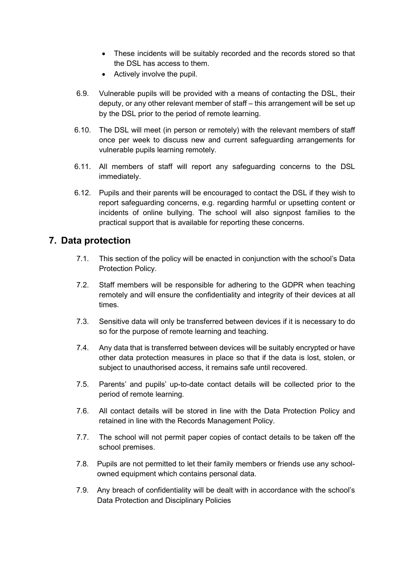- These incidents will be suitably recorded and the records stored so that the DSL has access to them.
- Actively involve the pupil.
- 6.9. Vulnerable pupils will be provided with a means of contacting the DSL, their deputy, or any other relevant member of staff – this arrangement will be set up by the DSL prior to the period of remote learning.
- 6.10. The DSL will meet (in person or remotely) with the relevant members of staff once per week to discuss new and current safeguarding arrangements for vulnerable pupils learning remotely.
- 6.11. All members of staff will report any safeguarding concerns to the DSL immediately.
- 6.12. Pupils and their parents will be encouraged to contact the DSL if they wish to report safeguarding concerns, e.g. regarding harmful or upsetting content or incidents of online bullying. The school will also signpost families to the practical support that is available for reporting these concerns.

## 7. Data protection

- 7.1. This section of the policy will be enacted in conjunction with the school's Data Protection Policy.
- 7.2. Staff members will be responsible for adhering to the GDPR when teaching remotely and will ensure the confidentiality and integrity of their devices at all times.
- 7.3. Sensitive data will only be transferred between devices if it is necessary to do so for the purpose of remote learning and teaching.
- 7.4. Any data that is transferred between devices will be suitably encrypted or have other data protection measures in place so that if the data is lost, stolen, or subject to unauthorised access, it remains safe until recovered.
- 7.5. Parents' and pupils' up-to-date contact details will be collected prior to the period of remote learning.
- 7.6. All contact details will be stored in line with the Data Protection Policy and retained in line with the Records Management Policy.
- 7.7. The school will not permit paper copies of contact details to be taken off the school premises.
- 7.8. Pupils are not permitted to let their family members or friends use any schoolowned equipment which contains personal data.
- 7.9. Any breach of confidentiality will be dealt with in accordance with the school's Data Protection and Disciplinary Policies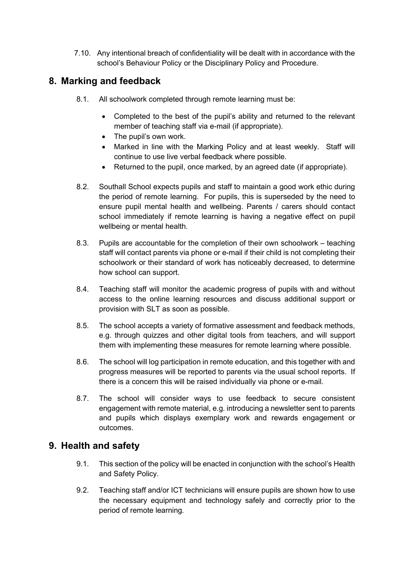7.10. Any intentional breach of confidentiality will be dealt with in accordance with the school's Behaviour Policy or the Disciplinary Policy and Procedure.

# 8. Marking and feedback

- 8.1. All schoolwork completed through remote learning must be:
	- Completed to the best of the pupil's ability and returned to the relevant member of teaching staff via e-mail (if appropriate).
	- The pupil's own work.
	- Marked in line with the Marking Policy and at least weekly. Staff will continue to use live verbal feedback where possible.
	- Returned to the pupil, once marked, by an agreed date (if appropriate).
- 8.2. Southall School expects pupils and staff to maintain a good work ethic during the period of remote learning. For pupils, this is superseded by the need to ensure pupil mental health and wellbeing. Parents / carers should contact school immediately if remote learning is having a negative effect on pupil wellbeing or mental health.
- 8.3. Pupils are accountable for the completion of their own schoolwork teaching staff will contact parents via phone or e-mail if their child is not completing their schoolwork or their standard of work has noticeably decreased, to determine how school can support.
- 8.4. Teaching staff will monitor the academic progress of pupils with and without access to the online learning resources and discuss additional support or provision with SLT as soon as possible.
- 8.5. The school accepts a variety of formative assessment and feedback methods, e.g. through quizzes and other digital tools from teachers, and will support them with implementing these measures for remote learning where possible.
- 8.6. The school will log participation in remote education, and this together with and progress measures will be reported to parents via the usual school reports. If there is a concern this will be raised individually via phone or e-mail.
- 8.7. The school will consider ways to use feedback to secure consistent engagement with remote material, e.g. introducing a newsletter sent to parents and pupils which displays exemplary work and rewards engagement or outcomes.

# 9. Health and safety

- 9.1. This section of the policy will be enacted in conjunction with the school's Health and Safety Policy.
- 9.2. Teaching staff and/or ICT technicians will ensure pupils are shown how to use the necessary equipment and technology safely and correctly prior to the period of remote learning.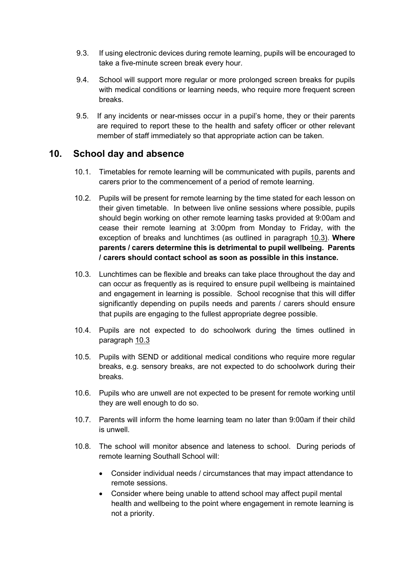- 9.3. If using electronic devices during remote learning, pupils will be encouraged to take a five-minute screen break every hour.
- 9.4. School will support more regular or more prolonged screen breaks for pupils with medical conditions or learning needs, who require more frequent screen breaks.
- 9.5. If any incidents or near-misses occur in a pupil's home, they or their parents are required to report these to the health and safety officer or other relevant member of staff immediately so that appropriate action can be taken.

#### 10. School day and absence

- 10.1. Timetables for remote learning will be communicated with pupils, parents and carers prior to the commencement of a period of remote learning.
- 10.2. Pupils will be present for remote learning by the time stated for each lesson on their given timetable. In between live online sessions where possible, pupils should begin working on other remote learning tasks provided at 9:00am and cease their remote learning at 3:00pm from Monday to Friday, with the exception of breaks and lunchtimes (as outlined in paragraph 10.3). Where parents / carers determine this is detrimental to pupil wellbeing. Parents / carers should contact school as soon as possible in this instance.
- 10.3. Lunchtimes can be flexible and breaks can take place throughout the day and can occur as frequently as is required to ensure pupil wellbeing is maintained and engagement in learning is possible. School recognise that this will differ significantly depending on pupils needs and parents / carers should ensure that pupils are engaging to the fullest appropriate degree possible.
- 10.4. Pupils are not expected to do schoolwork during the times outlined in paragraph 10.3
- 10.5. Pupils with SEND or additional medical conditions who require more regular breaks, e.g. sensory breaks, are not expected to do schoolwork during their breaks.
- 10.6. Pupils who are unwell are not expected to be present for remote working until they are well enough to do so.
- 10.7. Parents will inform the home learning team no later than 9:00am if their child is unwell.
- 10.8. The school will monitor absence and lateness to school. During periods of remote learning Southall School will:
	- Consider individual needs / circumstances that may impact attendance to remote sessions.
	- Consider where being unable to attend school may affect pupil mental health and wellbeing to the point where engagement in remote learning is not a priority.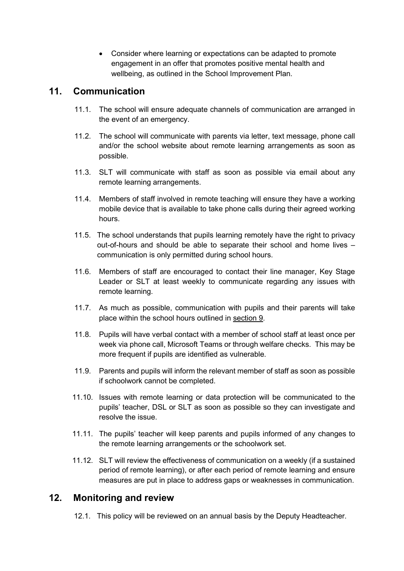Consider where learning or expectations can be adapted to promote engagement in an offer that promotes positive mental health and wellbeing, as outlined in the School Improvement Plan.

## 11. Communication

- 11.1. The school will ensure adequate channels of communication are arranged in the event of an emergency.
- 11.2. The school will communicate with parents via letter, text message, phone call and/or the school website about remote learning arrangements as soon as possible.
- 11.3. SLT will communicate with staff as soon as possible via email about any remote learning arrangements.
- 11.4. Members of staff involved in remote teaching will ensure they have a working mobile device that is available to take phone calls during their agreed working hours.
- 11.5. The school understands that pupils learning remotely have the right to privacy out-of-hours and should be able to separate their school and home lives – communication is only permitted during school hours.
- 11.6. Members of staff are encouraged to contact their line manager, Key Stage Leader or SLT at least weekly to communicate regarding any issues with remote learning.
- 11.7. As much as possible, communication with pupils and their parents will take place within the school hours outlined in section 9.
- 11.8. Pupils will have verbal contact with a member of school staff at least once per week via phone call, Microsoft Teams or through welfare checks. This may be more frequent if pupils are identified as vulnerable.
- 11.9. Parents and pupils will inform the relevant member of staff as soon as possible if schoolwork cannot be completed.
- 11.10. Issues with remote learning or data protection will be communicated to the pupils' teacher, DSL or SLT as soon as possible so they can investigate and resolve the issue.
- 11.11. The pupils' teacher will keep parents and pupils informed of any changes to the remote learning arrangements or the schoolwork set.
- 11.12. SLT will review the effectiveness of communication on a weekly (if a sustained period of remote learning), or after each period of remote learning and ensure measures are put in place to address gaps or weaknesses in communication.

## 12. Monitoring and review

12.1. This policy will be reviewed on an annual basis by the Deputy Headteacher.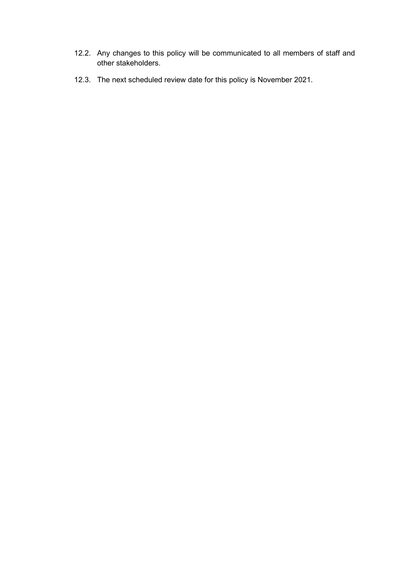- 12.2. Any changes to this policy will be communicated to all members of staff and other stakeholders.
- 12.3. The next scheduled review date for this policy is November 2021.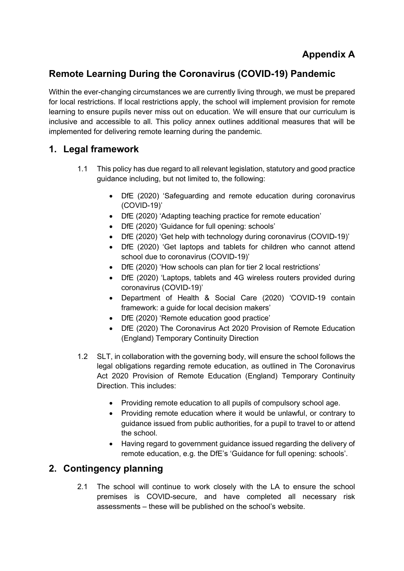# Appendix A

# Remote Learning During the Coronavirus (COVID-19) Pandemic

Within the ever-changing circumstances we are currently living through, we must be prepared for local restrictions. If local restrictions apply, the school will implement provision for remote learning to ensure pupils never miss out on education. We will ensure that our curriculum is inclusive and accessible to all. This policy annex outlines additional measures that will be implemented for delivering remote learning during the pandemic.

# 1. Legal framework

- 1.1 This policy has due regard to all relevant legislation, statutory and good practice guidance including, but not limited to, the following:
	- DfE (2020) 'Safeguarding and remote education during coronavirus (COVID-19)'
	- DfE (2020) 'Adapting teaching practice for remote education'
	- DfE (2020) 'Guidance for full opening: schools'
	- DfE (2020) 'Get help with technology during coronavirus (COVID-19)'
	- DfE (2020) 'Get laptops and tablets for children who cannot attend school due to coronavirus (COVID-19)'
	- DfE (2020) 'How schools can plan for tier 2 local restrictions'
	- DfE (2020) 'Laptops, tablets and 4G wireless routers provided during coronavirus (COVID-19)'
	- Department of Health & Social Care (2020) 'COVID-19 contain framework: a guide for local decision makers'
	- DfE (2020) 'Remote education good practice'
	- DfE (2020) The Coronavirus Act 2020 Provision of Remote Education (England) Temporary Continuity Direction
- 1.2 SLT, in collaboration with the governing body, will ensure the school follows the legal obligations regarding remote education, as outlined in The Coronavirus Act 2020 Provision of Remote Education (England) Temporary Continuity Direction. This includes:
	- Providing remote education to all pupils of compulsory school age.
	- Providing remote education where it would be unlawful, or contrary to guidance issued from public authorities, for a pupil to travel to or attend the school.
	- Having regard to government guidance issued regarding the delivery of remote education, e.g. the DfE's 'Guidance for full opening: schools'.

# 2. Contingency planning

2.1 The school will continue to work closely with the LA to ensure the school premises is COVID-secure, and have completed all necessary risk assessments – these will be published on the school's website.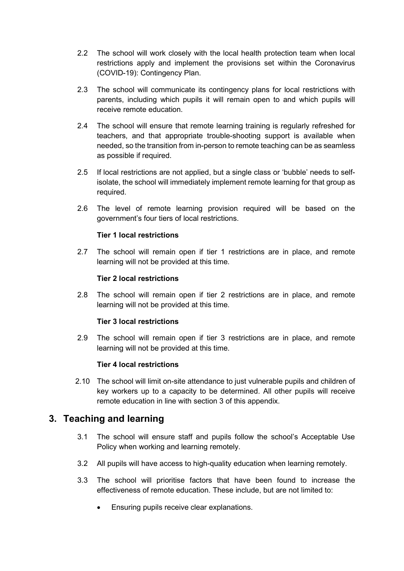- 2.2 The school will work closely with the local health protection team when local restrictions apply and implement the provisions set within the Coronavirus (COVID-19): Contingency Plan.
- 2.3 The school will communicate its contingency plans for local restrictions with parents, including which pupils it will remain open to and which pupils will receive remote education.
- 2.4 The school will ensure that remote learning training is regularly refreshed for teachers, and that appropriate trouble-shooting support is available when needed, so the transition from in-person to remote teaching can be as seamless as possible if required.
- 2.5 If local restrictions are not applied, but a single class or 'bubble' needs to selfisolate, the school will immediately implement remote learning for that group as required.
- 2.6 The level of remote learning provision required will be based on the government's four tiers of local restrictions.

#### Tier 1 local restrictions

2.7 The school will remain open if tier 1 restrictions are in place, and remote learning will not be provided at this time.

#### Tier 2 local restrictions

2.8 The school will remain open if tier 2 restrictions are in place, and remote learning will not be provided at this time.

#### Tier 3 local restrictions

2.9 The school will remain open if tier 3 restrictions are in place, and remote learning will not be provided at this time.

#### Tier 4 local restrictions

2.10 The school will limit on-site attendance to just vulnerable pupils and children of key workers up to a capacity to be determined. All other pupils will receive remote education in line with section 3 of this appendix.

## 3. Teaching and learning

- 3.1 The school will ensure staff and pupils follow the school's Acceptable Use Policy when working and learning remotely.
- 3.2 All pupils will have access to high-quality education when learning remotely.
- 3.3 The school will prioritise factors that have been found to increase the effectiveness of remote education. These include, but are not limited to:
	- Ensuring pupils receive clear explanations.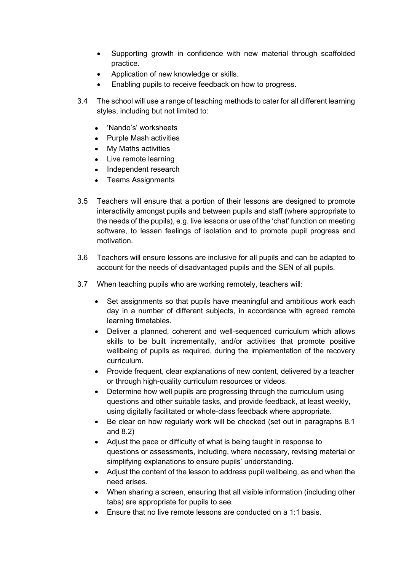- Supporting growth in confidence with new material through scaffolded practice.
- Application of new knowledge or skills.
- Enabling pupils to receive feedback on how to progress.
- 3.4 The school will use a range of teaching methods to cater for all different learning styles, including but not limited to:
	- 'Nando's' worksheets
	- Purple Mash activities
	- My Maths activities
	- Live remote learning
	- Independent research
	- Teams Assignments
- 3.5 Teachers will ensure that a portion of their lessons are designed to promote interactivity amongst pupils and between pupils and staff (where appropriate to the needs of the pupils), e.g. live lessons or use of the 'chat' function on meeting software, to lessen feelings of isolation and to promote pupil progress and motivation.
- 3.6 Teachers will ensure lessons are inclusive for all pupils and can be adapted to account for the needs of disadvantaged pupils and the SEN of all pupils.
- 3.7 When teaching pupils who are working remotely, teachers will:
	- Set assignments so that pupils have meaningful and ambitious work each day in a number of different subjects, in accordance with agreed remote learning timetables.
	- Deliver a planned, coherent and well-sequenced curriculum which allows skills to be built incrementally, and/or activities that promote positive wellbeing of pupils as required, during the implementation of the recovery curriculum.
	- Provide frequent, clear explanations of new content, delivered by a teacher or through high-quality curriculum resources or videos.
	- Determine how well pupils are progressing through the curriculum using questions and other suitable tasks, and provide feedback, at least weekly, using digitally facilitated or whole-class feedback where appropriate.
	- Be clear on how regularly work will be checked (set out in paragraphs 8.1 and 8.2)
	- Adjust the pace or difficulty of what is being taught in response to questions or assessments, including, where necessary, revising material or simplifying explanations to ensure pupils' understanding.
	- Adjust the content of the lesson to address pupil wellbeing, as and when the need arises.
	- When sharing a screen, ensuring that all visible information (including other tabs) are appropriate for pupils to see.
	- **Ensure that no live remote lessons are conducted on a 1:1 basis.**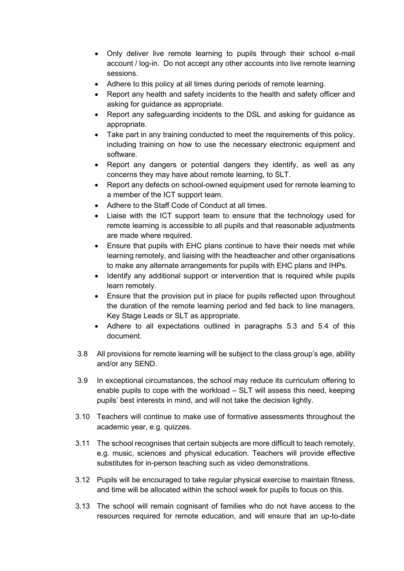- Only deliver live remote learning to pupils through their school e-mail account / log-in. Do not accept any other accounts into live remote learning sessions.
- Adhere to this policy at all times during periods of remote learning.
- Report any health and safety incidents to the health and safety officer and asking for guidance as appropriate.
- Report any safeguarding incidents to the DSL and asking for guidance as appropriate.
- Take part in any training conducted to meet the requirements of this policy, including training on how to use the necessary electronic equipment and software.
- Report any dangers or potential dangers they identify, as well as any concerns they may have about remote learning, to SLT.
- Report any defects on school-owned equipment used for remote learning to a member of the ICT support team.
- Adhere to the Staff Code of Conduct at all times.
- Liaise with the ICT support team to ensure that the technology used for remote learning is accessible to all pupils and that reasonable adjustments are made where required.
- Ensure that pupils with EHC plans continue to have their needs met while learning remotely, and liaising with the headteacher and other organisations to make any alternate arrangements for pupils with EHC plans and IHPs.
- Identify any additional support or intervention that is required while pupils learn remotely.
- Ensure that the provision put in place for pupils reflected upon throughout the duration of the remote learning period and fed back to line managers, Key Stage Leads or SLT as appropriate.
- Adhere to all expectations outlined in paragraphs 5.3 and 5.4 of this document.
- 3.8 All provisions for remote learning will be subject to the class group's age, ability and/or any SEND.
- 3.9 In exceptional circumstances, the school may reduce its curriculum offering to enable pupils to cope with the workload – SLT will assess this need, keeping pupils' best interests in mind, and will not take the decision lightly.
- 3.10 Teachers will continue to make use of formative assessments throughout the academic year, e.g. quizzes.
- 3.11 The school recognises that certain subjects are more difficult to teach remotely, e.g. music, sciences and physical education. Teachers will provide effective substitutes for in-person teaching such as video demonstrations.
- 3.12 Pupils will be encouraged to take regular physical exercise to maintain fitness, and time will be allocated within the school week for pupils to focus on this.
- 3.13 The school will remain cognisant of families who do not have access to the resources required for remote education, and will ensure that an up-to-date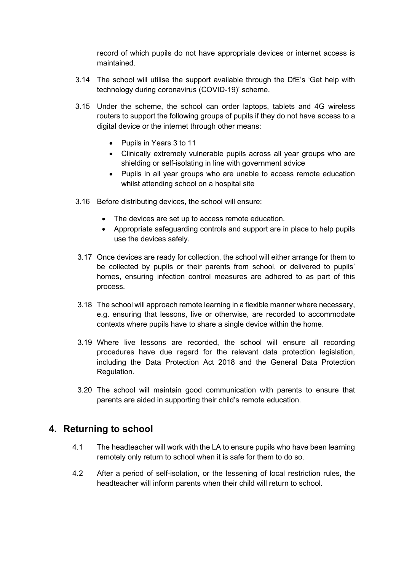record of which pupils do not have appropriate devices or internet access is maintained.

- 3.14 The school will utilise the support available through the DfE's 'Get help with technology during coronavirus (COVID-19)' scheme.
- 3.15 Under the scheme, the school can order laptops, tablets and 4G wireless routers to support the following groups of pupils if they do not have access to a digital device or the internet through other means:
	- Pupils in Years 3 to 11
	- Clinically extremely vulnerable pupils across all year groups who are shielding or self-isolating in line with government advice
	- Pupils in all year groups who are unable to access remote education whilst attending school on a hospital site
- 3.16 Before distributing devices, the school will ensure:
	- The devices are set up to access remote education.
	- Appropriate safeguarding controls and support are in place to help pupils use the devices safely.
- 3.17 Once devices are ready for collection, the school will either arrange for them to be collected by pupils or their parents from school, or delivered to pupils' homes, ensuring infection control measures are adhered to as part of this process.
- 3.18 The school will approach remote learning in a flexible manner where necessary, e.g. ensuring that lessons, live or otherwise, are recorded to accommodate contexts where pupils have to share a single device within the home.
- 3.19 Where live lessons are recorded, the school will ensure all recording procedures have due regard for the relevant data protection legislation, including the Data Protection Act 2018 and the General Data Protection Regulation.
- 3.20 The school will maintain good communication with parents to ensure that parents are aided in supporting their child's remote education.

## 4. Returning to school

- 4.1 The headteacher will work with the LA to ensure pupils who have been learning remotely only return to school when it is safe for them to do so.
- 4.2 After a period of self-isolation, or the lessening of local restriction rules, the headteacher will inform parents when their child will return to school.